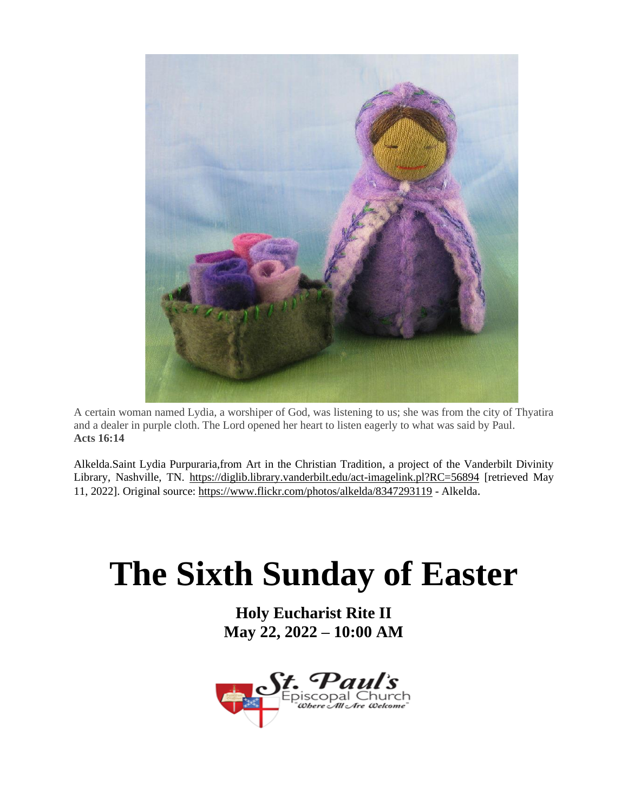

A certain woman named Lydia, a worshiper of God, was listening to us; she was from the city of Thyatira and a dealer in purple cloth. The Lord opened her heart to listen eagerly to what was said by Paul. **Acts 16:14**

Alkelda.Saint Lydia Purpuraria,from Art in the Christian Tradition, a project of the Vanderbilt Divinity Library, Nashville, TN. <https://diglib.library.vanderbilt.edu/act-imagelink.pl?RC=56894> [retrieved May 11, 2022]. Original source:<https://www.flickr.com/photos/alkelda/8347293119> - Alkelda.

# **The Sixth Sunday of Easter**

**Holy Eucharist Rite II May 22, 2022 – 10:00 AM**

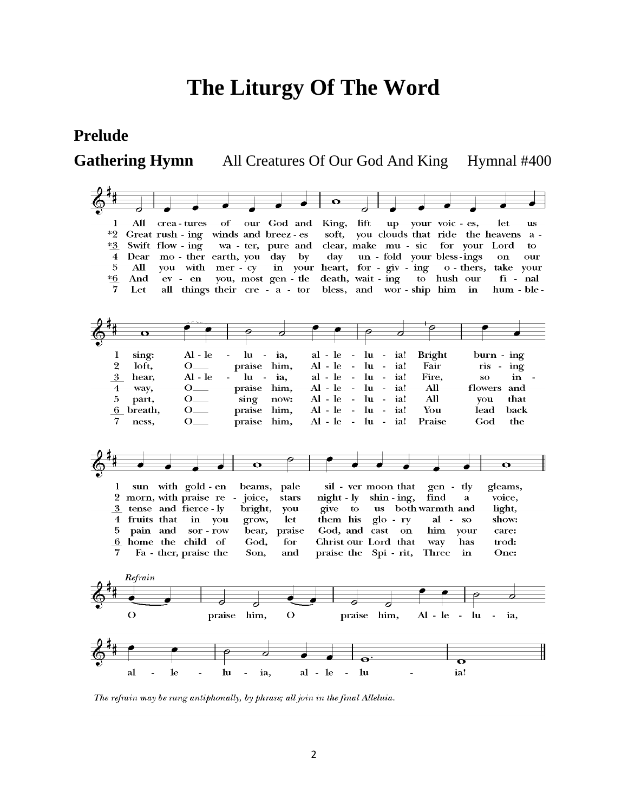### **The Liturgy Of The Word**

#### **Prelude**

**Gathering Hymn** All Creatures Of Our God And King Hymnal #400

crea - tures  $of$ our God and King, lift let All up your voic - es,  $\mathbf{1}$ 118 \*2 Great rush - ing winds and breez - es soft, you clouds that ride the heavens a - $*3$ clear, make mu - sic Swift flow ing wa - ter, pure and for your Lord  $\bullet$  to  $\overline{4}$ Dear mo - ther earth, you day by day un - fold your bless-ings our on 5 All you with mer - cy in your heart, for - giv - ing o - thers, take your  $*6$ And ev - en you, most gen - tle death, wait - ing to hush our  $fi$  -  $nal$  $\overline{7}$ Let all things their cre - a - tor bless, and wor-ship him  $in$ hum - ble - $\mathbf o$  $Al - le$  $\ln$  - ia,  $al - le$  $-$  lu  $-$ **Bright**  $\mathbf{I}$ sing: ia! burn - ing  $\overline{2}$ praise him,  $-$  lu  $-$  ia! loft,  $\mathbf{Al}$  -  $\mathbf{le}$ Fair  $\dot{\mathbf{ris}}$ ing  $\Omega$  $\sim$  $\overline{3}$ hear,  $\mathbf{Al}$  - le  $\ln$  - ia,  $al - le$  $\ln$   $\operatorname{ial}$ Fire,  $\overline{\mathbf{s}}$ o in.  $\overline{\mathbf{4}}$ way,  $\Omega$ praise him,  ${\bf Al}$  -  ${\bf le}$  $\ln \mathrm{i}$  ${\bf All}$ flowers and  $\mathbf{5}$ part,  $\Omega$ sing now:  ${\rm Al}$  -  ${\rm le}$  $\ln$   $\infty$  $A<sub>II</sub>$ you that  $\mathbf{A} \mathbf{l}$  - le  $-$  lu  $6$  breath,  $\Omega$ praise him, ia! You lead back  $\overline{\mathbf{7}}$ praise him,  $\mathbf{Al}$  -  $\mathbf{le}$  $\ln$   $$ ial Praise God the ness,  $O_{-}$  $\mathbf \Omega$  $\bullet$ gen - tly sun with gold - en beams, pale sil - ver moon that gleams, 1 2 morn, with praise re joice, stars night - ly- $\sin - \text{ing}$ , find voice, a  $3$  tense and fierce - ly bright, you give to us both warmth and light, them his 4 fruits that in you grow, let  $g$ lo - ry  $al - so$ show:  $\overline{5}$ pain and sor - row bear, praise God, and cast on him care: your 6 home the child of God, for Christ our Lord that way has trod: Fa - ther, praise the Son, and praise the Spi - rit, Three in One: Refrain  $\overline{O}$ praise him,  $\overline{O}$ praise him,  ${\bf Al}$  -  ${\bf le}$ - lu  $\sim$ ia, le  ${\bf al}$  -  ${\bf le}$ al  $\mathbf{u}$  $\overline{a}$ ia,  $\bar{\mathcal{A}}$ lu ia!

The refrain may be sung antiphonally, by phrase; all join in the final Alleluia.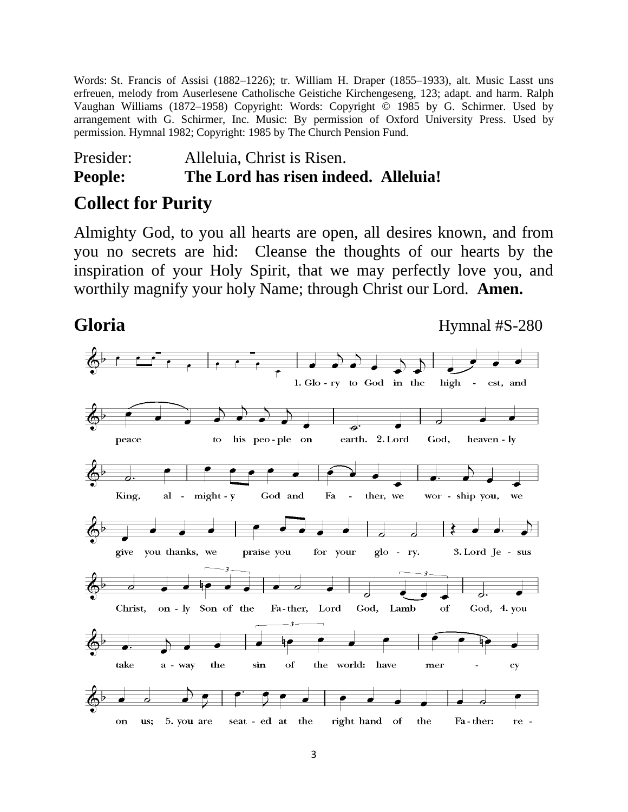Words: St. Francis of Assisi (1882–1226); tr. William H. Draper (1855–1933), alt. Music Lasst uns erfreuen, melody from Auserlesene Catholische Geistiche Kirchengeseng, 123; adapt. and harm. Ralph Vaughan Williams (1872–1958) Copyright: Words: Copyright © 1985 by G. Schirmer. Used by arrangement with G. Schirmer, Inc. Music: By permission of Oxford University Press. Used by permission. Hymnal 1982; Copyright: 1985 by The Church Pension Fund.

### Presider: Alleluia, Christ is Risen. **People: The Lord has risen indeed. Alleluia!**

### **Collect for Purity**

Almighty God, to you all hearts are open, all desires known, and from you no secrets are hid: Cleanse the thoughts of our hearts by the inspiration of your Holy Spirit, that we may perfectly love you, and worthily magnify your holy Name; through Christ our Lord. **Amen.**

Gloria **Hymnal #S-280** 

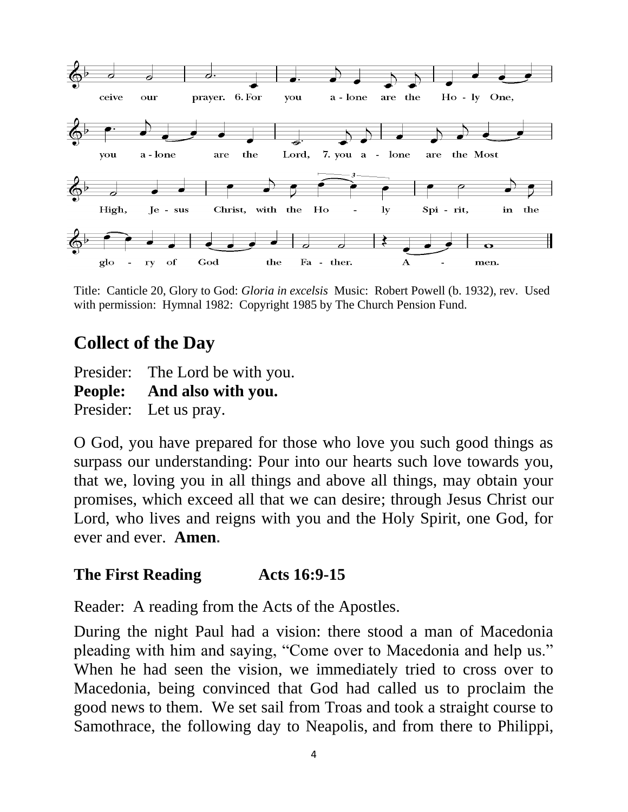

Title: Canticle 20, Glory to God: *Gloria in excelsis* Music: Robert Powell (b. 1932), rev. Used with permission: Hymnal 1982: Copyright 1985 by The Church Pension Fund.

### **Collect of the Day**

Presider: The Lord be with you. **People: And also with you.** Presider: Let us pray.

O God, you have prepared for those who love you such good things as surpass our understanding: Pour into our hearts such love towards you, that we, loving you in all things and above all things, may obtain your promises, which exceed all that we can desire; through Jesus Christ our Lord, who lives and reigns with you and the Holy Spirit, one God, for ever and ever. **Amen.**

#### **The First Reading Acts 16:9-15**

Reader: A reading from the Acts of the Apostles.

During the night Paul had a vision: there stood a man of Macedonia pleading with him and saying, "Come over to Macedonia and help us." When he had seen the vision, we immediately tried to cross over to Macedonia, being convinced that God had called us to proclaim the good news to them. We set sail from Troas and took a straight course to Samothrace, the following day to Neapolis, and from there to Philippi,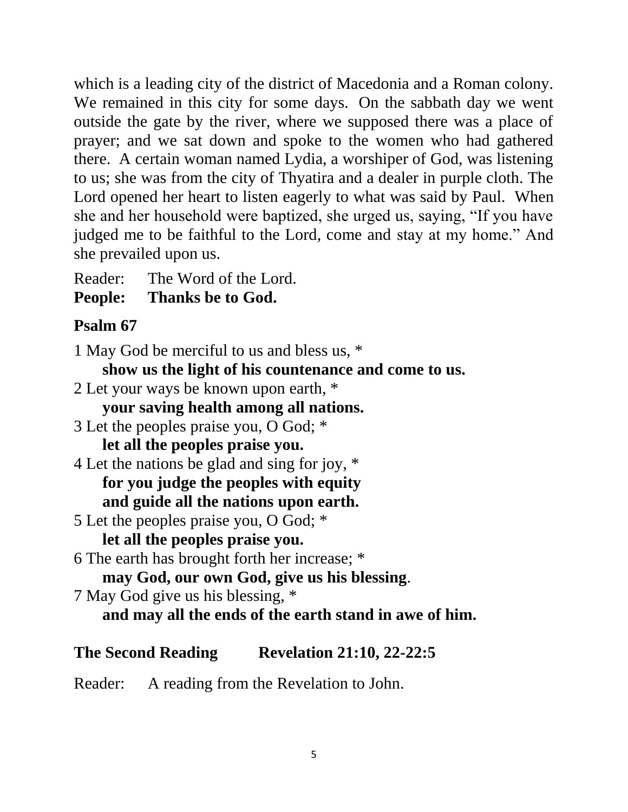which is a leading city of the district of Macedonia and a Roman colony. We remained in this city for some days. On the sabbath day we went outside the gate by the river, where we supposed there was a place of prayer; and we sat down and spoke to the women who had gathered there. A certain woman named Lydia, a worshiper of God, was listening to us; she was from the city of Thyatira and a dealer in purple cloth. The Lord opened her heart to listen eagerly to what was said by Paul. When she and her household were baptized, she urged us, saying, "If you have judged me to be faithful to the Lord, come and stay at my home." And she prevailed upon us.

Reader: The Word of the Lord.

### **People: Thanks be to God.**

### **Psalm 67**

1 May God be merciful to us and bless us, \*

**show us the light of his countenance and come to us.**

2 Let your ways be known upon earth, \*

**your saving health among all nations.**

- 3 Let the peoples praise you, O God; \*  **let all the peoples praise you.**
- 4 Let the nations be glad and sing for joy, \* **for you judge the peoples with equity and guide all the nations upon earth.**
- 5 Let the peoples praise you, O God; \*
	- **let all the peoples praise you.**
- 6 The earth has brought forth her increase; \*

**may God, our own God, give us his blessing**.

7 May God give us his blessing, \*

**and may all the ends of the earth stand in awe of him.**

### **The Second Reading Revelation 21:10, 22-22:5**

Reader: A reading from the Revelation to John.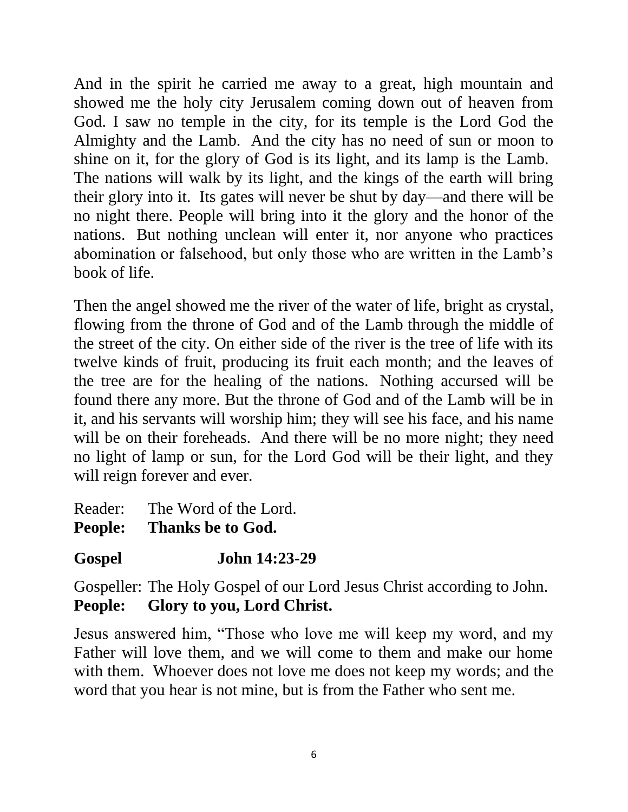And in the spirit he carried me away to a great, high mountain and showed me the holy city Jerusalem coming down out of heaven from God. I saw no temple in the city, for its temple is the Lord God the Almighty and the Lamb. And the city has no need of sun or moon to shine on it, for the glory of God is its light, and its lamp is the Lamb. The nations will walk by its light, and the kings of the earth will bring their glory into it. Its gates will never be shut by day—and there will be no night there. People will bring into it the glory and the honor of the nations. But nothing unclean will enter it, nor anyone who practices abomination or falsehood, but only those who are written in the Lamb's book of life.

Then the angel showed me the river of the water of life, bright as crystal, flowing from the throne of God and of the Lamb through the middle of the street of the city. On either side of the river is the tree of life with its twelve kinds of fruit, producing its fruit each month; and the leaves of the tree are for the healing of the nations. Nothing accursed will be found there any more. But the throne of God and of the Lamb will be in it, and his servants will worship him; they will see his face, and his name will be on their foreheads. And there will be no more night; they need no light of lamp or sun, for the Lord God will be their light, and they will reign forever and ever.

- Reader: The Word of the Lord.
- **People: Thanks be to God.**
- **Gospel John 14:23-29**

Gospeller: The Holy Gospel of our Lord Jesus Christ according to John. **People: Glory to you, Lord Christ.**

Jesus answered him, "Those who love me will keep my word, and my Father will love them, and we will come to them and make our home with them. Whoever does not love me does not keep my words; and the word that you hear is not mine, but is from the Father who sent me.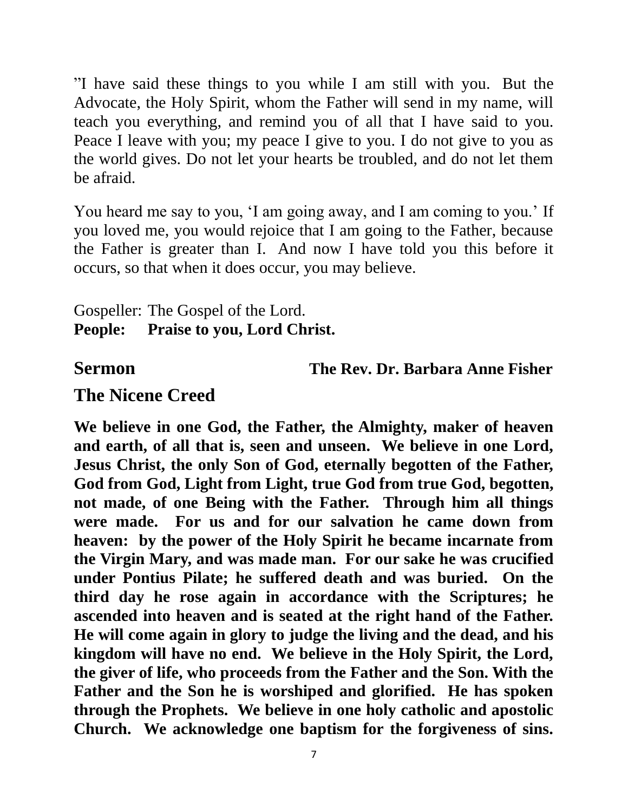"I have said these things to you while I am still with you. But the Advocate, the Holy Spirit, whom the Father will send in my name, will teach you everything, and remind you of all that I have said to you. Peace I leave with you; my peace I give to you. I do not give to you as the world gives. Do not let your hearts be troubled, and do not let them be afraid.

You heard me say to you, 'I am going away, and I am coming to you.' If you loved me, you would rejoice that I am going to the Father, because the Father is greater than I. And now I have told you this before it occurs, so that when it does occur, you may believe.

Gospeller: The Gospel of the Lord. **People: Praise to you, Lord Christ.**

**Sermon The Rev. Dr. Barbara Anne Fisher**

### **The Nicene Creed**

**We believe in one God, the Father, the Almighty, maker of heaven and earth, of all that is, seen and unseen. We believe in one Lord, Jesus Christ, the only Son of God, eternally begotten of the Father, God from God, Light from Light, true God from true God, begotten, not made, of one Being with the Father. Through him all things were made. For us and for our salvation he came down from heaven: by the power of the Holy Spirit he became incarnate from the Virgin Mary, and was made man. For our sake he was crucified under Pontius Pilate; he suffered death and was buried. On the third day he rose again in accordance with the Scriptures; he ascended into heaven and is seated at the right hand of the Father. He will come again in glory to judge the living and the dead, and his kingdom will have no end. We believe in the Holy Spirit, the Lord, the giver of life, who proceeds from the Father and the Son. With the Father and the Son he is worshiped and glorified. He has spoken through the Prophets. We believe in one holy catholic and apostolic Church. We acknowledge one baptism for the forgiveness of sins.**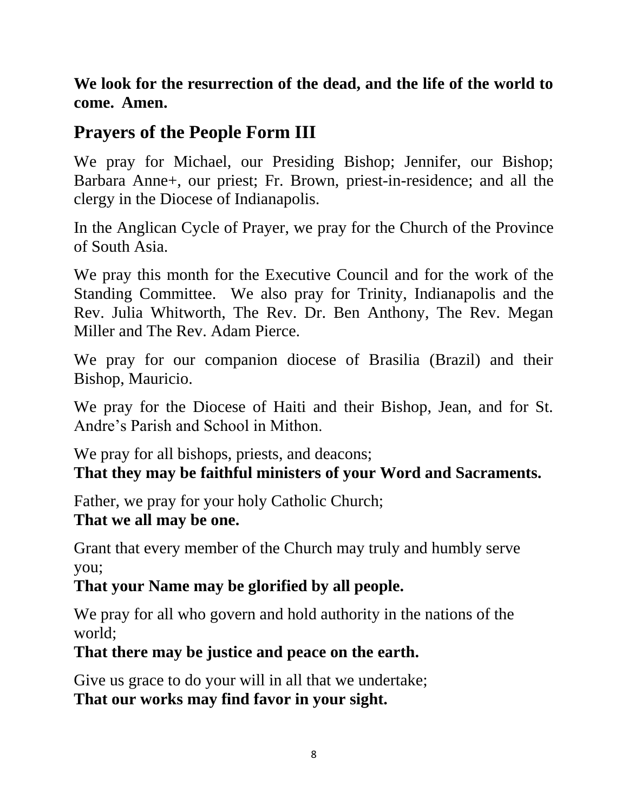**We look for the resurrection of the dead, and the life of the world to come. Amen.**

### **Prayers of the People Form III**

We pray for Michael, our Presiding Bishop; Jennifer, our Bishop; Barbara Anne+, our priest; Fr. Brown, priest-in-residence; and all the clergy in the Diocese of Indianapolis.

In the Anglican Cycle of Prayer, we pray for the Church of the Province of South Asia.

We pray this month for the Executive Council and for the work of the Standing Committee. We also pray for Trinity, Indianapolis and the Rev. Julia Whitworth, The Rev. Dr. Ben Anthony, The Rev. Megan Miller and The Rev. Adam Pierce.

We pray for our companion diocese of Brasilia (Brazil) and their Bishop, Mauricio.

We pray for the Diocese of Haiti and their Bishop, Jean, and for St. Andre's Parish and School in Mithon.

We pray for all bishops, priests, and deacons; **That they may be faithful ministers of your Word and Sacraments.**

Father, we pray for your holy Catholic Church; **That we all may be one.**

Grant that every member of the Church may truly and humbly serve you;

### **That your Name may be glorified by all people.**

We pray for all who govern and hold authority in the nations of the world;

### **That there may be justice and peace on the earth.**

Give us grace to do your will in all that we undertake; **That our works may find favor in your sight.**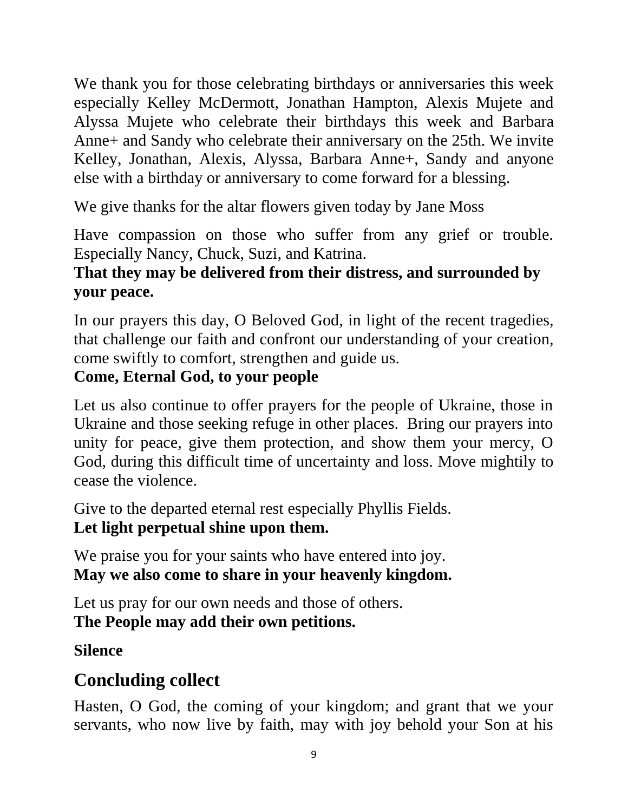We thank you for those celebrating birthdays or anniversaries this week especially Kelley McDermott, Jonathan Hampton, Alexis Mujete and Alyssa Mujete who celebrate their birthdays this week and Barbara Anne+ and Sandy who celebrate their anniversary on the 25th. We invite Kelley, Jonathan, Alexis, Alyssa, Barbara Anne+, Sandy and anyone else with a birthday or anniversary to come forward for a blessing.

We give thanks for the altar flowers given today by Jane Moss

Have compassion on those who suffer from any grief or trouble. Especially Nancy, Chuck, Suzi, and Katrina.

### **That they may be delivered from their distress, and surrounded by your peace.**

In our prayers this day, O Beloved God, in light of the recent tragedies, that challenge our faith and confront our understanding of your creation, come swiftly to comfort, strengthen and guide us.

#### **Come, Eternal God, to your people**

Let us also continue to offer prayers for the people of Ukraine, those in Ukraine and those seeking refuge in other places. Bring our prayers into unity for peace, give them protection, and show them your mercy, O God, during this difficult time of uncertainty and loss. Move mightily to cease the violence.

Give to the departed eternal rest especially Phyllis Fields. **Let light perpetual shine upon them.**

We praise you for your saints who have entered into joy. **May we also come to share in your heavenly kingdom.**

Let us pray for our own needs and those of others. **The People may add their own petitions.**

#### **Silence**

### **Concluding collect**

Hasten, O God, the coming of your kingdom; and grant that we your servants, who now live by faith, may with joy behold your Son at his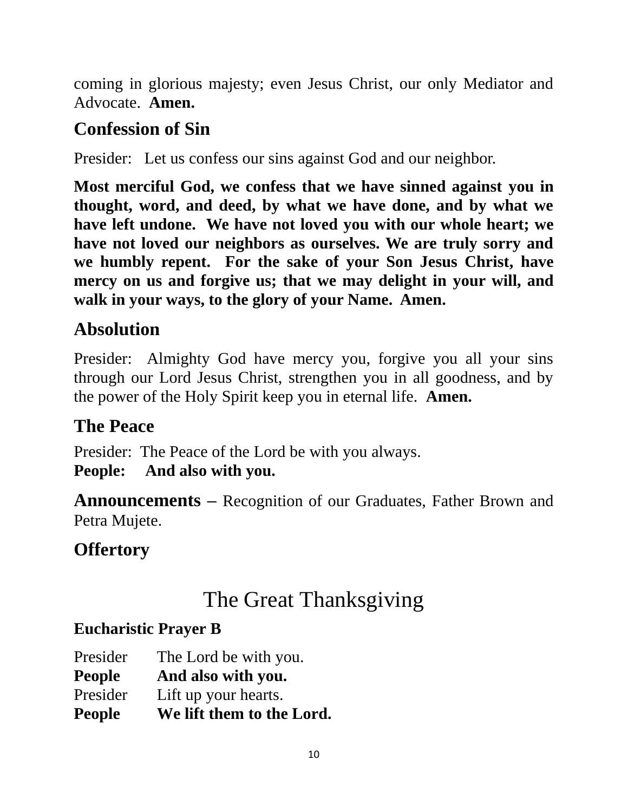coming in glorious majesty; even Jesus Christ, our only Mediator and Advocate. **Amen.**

#### **Confession of Sin**

Presider: Let us confess our sins against God and our neighbor.

**Most merciful God, we confess that we have sinned against you in thought, word, and deed, by what we have done, and by what we have left undone. We have not loved you with our whole heart; we have not loved our neighbors as ourselves. We are truly sorry and we humbly repent. For the sake of your Son Jesus Christ, have mercy on us and forgive us; that we may delight in your will, and walk in your ways, to the glory of your Name. Amen.**

### **Absolution**

Presider: Almighty God have mercy you, forgive you all your sins through our Lord Jesus Christ, strengthen you in all goodness, and by the power of the Holy Spirit keep you in eternal life. **Amen.**

### **The Peace**

Presider: The Peace of the Lord be with you always. **People: And also with you.**

**Announcements –** Recognition of our Graduates, Father Brown and Petra Mujete.

### **Offertory**

## The Great Thanksgiving

### **Eucharistic Prayer B**

| Presider      | The Lord be with you.     |
|---------------|---------------------------|
| <b>People</b> | And also with you.        |
| Presider      | Lift up your hearts.      |
| <b>People</b> | We lift them to the Lord. |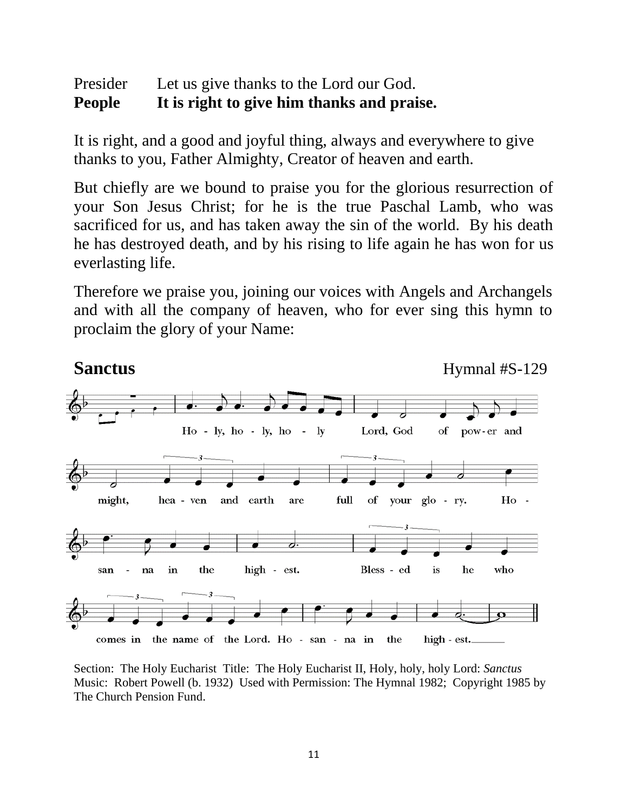#### Presider Let us give thanks to the Lord our God. **People It is right to give him thanks and praise.**

It is right, and a good and joyful thing, always and everywhere to give thanks to you, Father Almighty, Creator of heaven and earth.

But chiefly are we bound to praise you for the glorious resurrection of your Son Jesus Christ; for he is the true Paschal Lamb, who was sacrificed for us, and has taken away the sin of the world. By his death he has destroyed death, and by his rising to life again he has won for us everlasting life.

Therefore we praise you, joining our voices with Angels and Archangels and with all the company of heaven, who for ever sing this hymn to proclaim the glory of your Name:

**Sanctus** Hymnal #S-129



Section: The Holy Eucharist Title: The Holy Eucharist II, Holy, holy, holy Lord: *Sanctus* Music: Robert Powell (b. 1932) Used with Permission: The Hymnal 1982; Copyright 1985 by The Church Pension Fund.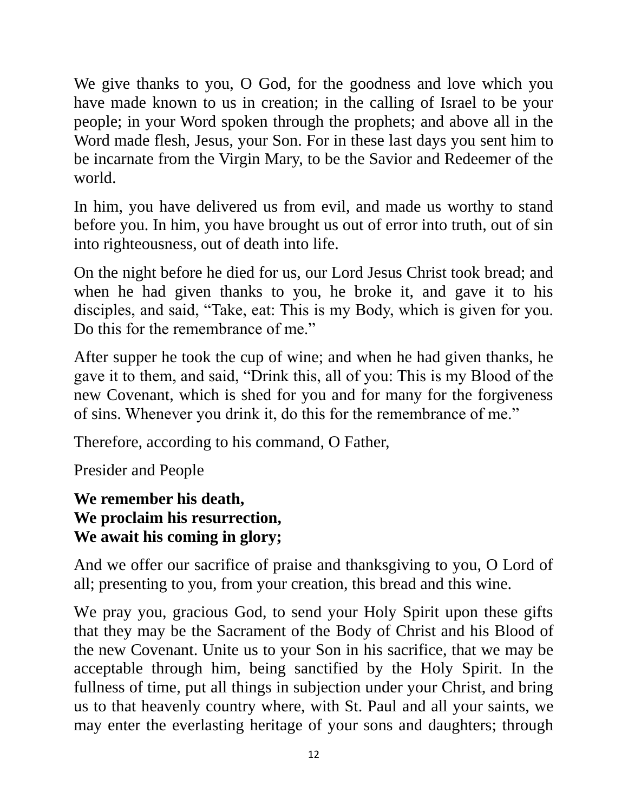We give thanks to you, O God, for the goodness and love which you have made known to us in creation; in the calling of Israel to be your people; in your Word spoken through the prophets; and above all in the Word made flesh, Jesus, your Son. For in these last days you sent him to be incarnate from the Virgin Mary, to be the Savior and Redeemer of the world.

In him, you have delivered us from evil, and made us worthy to stand before you. In him, you have brought us out of error into truth, out of sin into righteousness, out of death into life.

On the night before he died for us, our Lord Jesus Christ took bread; and when he had given thanks to you, he broke it, and gave it to his disciples, and said, "Take, eat: This is my Body, which is given for you. Do this for the remembrance of me."

After supper he took the cup of wine; and when he had given thanks, he gave it to them, and said, "Drink this, all of you: This is my Blood of the new Covenant, which is shed for you and for many for the forgiveness of sins. Whenever you drink it, do this for the remembrance of me."

Therefore, according to his command, O Father,

Presider and People

#### **We remember his death, We proclaim his resurrection, We await his coming in glory;**

And we offer our sacrifice of praise and thanksgiving to you, O Lord of all; presenting to you, from your creation, this bread and this wine.

We pray you, gracious God, to send your Holy Spirit upon these gifts that they may be the Sacrament of the Body of Christ and his Blood of the new Covenant. Unite us to your Son in his sacrifice, that we may be acceptable through him, being sanctified by the Holy Spirit. In the fullness of time, put all things in subjection under your Christ, and bring us to that heavenly country where, with St. Paul and all your saints, we may enter the everlasting heritage of your sons and daughters; through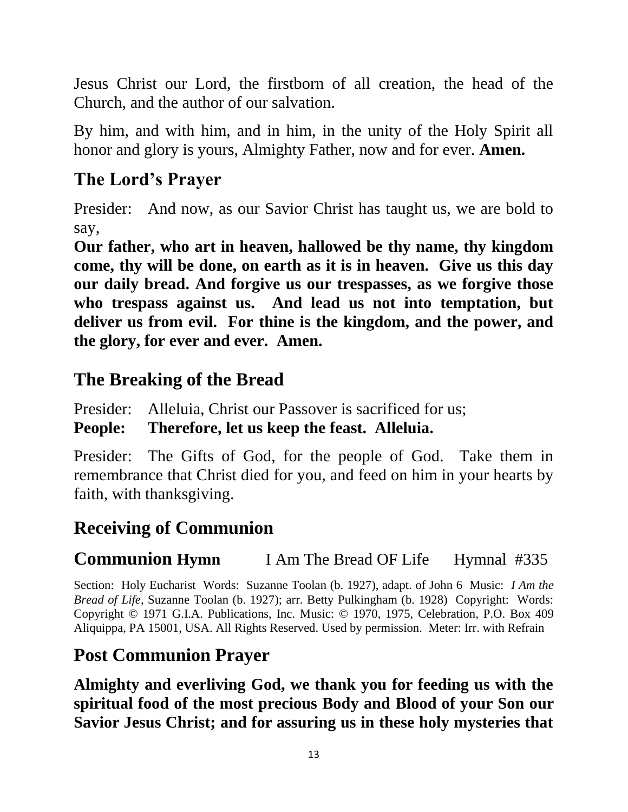Jesus Christ our Lord, the firstborn of all creation, the head of the Church, and the author of our salvation.

By him, and with him, and in him, in the unity of the Holy Spirit all honor and glory is yours, Almighty Father, now and for ever. **Amen.**

### **The Lord's Prayer**

Presider: And now, as our Savior Christ has taught us, we are bold to say,

**Our father, who art in heaven, hallowed be thy name, thy kingdom come, thy will be done, on earth as it is in heaven. Give us this day our daily bread. And forgive us our trespasses, as we forgive those who trespass against us. And lead us not into temptation, but deliver us from evil. For thine is the kingdom, and the power, and the glory, for ever and ever. Amen.**

### **The Breaking of the Bread**

Presider: Alleluia, Christ our Passover is sacrificed for us;

```
People: Therefore, let us keep the feast. Alleluia.
```
Presider: The Gifts of God, for the people of God. Take them in remembrance that Christ died for you, and feed on him in your hearts by faith, with thanksgiving.

### **Receiving of Communion**

### **Communion Hymn** I Am The Bread OF Life Hymnal #335

Section: Holy Eucharist Words: Suzanne Toolan (b. 1927), adapt. of John 6 Music: *I Am the Bread of Life*, Suzanne Toolan (b. 1927); arr. Betty Pulkingham (b. 1928) Copyright: Words: Copyright © 1971 G.I.A. Publications, Inc. Music: © 1970, 1975, Celebration, P.O. Box 409 Aliquippa, PA 15001, USA. All Rights Reserved. Used by permission. Meter: Irr. with Refrain

### **Post Communion Prayer**

**Almighty and everliving God, we thank you for feeding us with the spiritual food of the most precious Body and Blood of your Son our Savior Jesus Christ; and for assuring us in these holy mysteries that**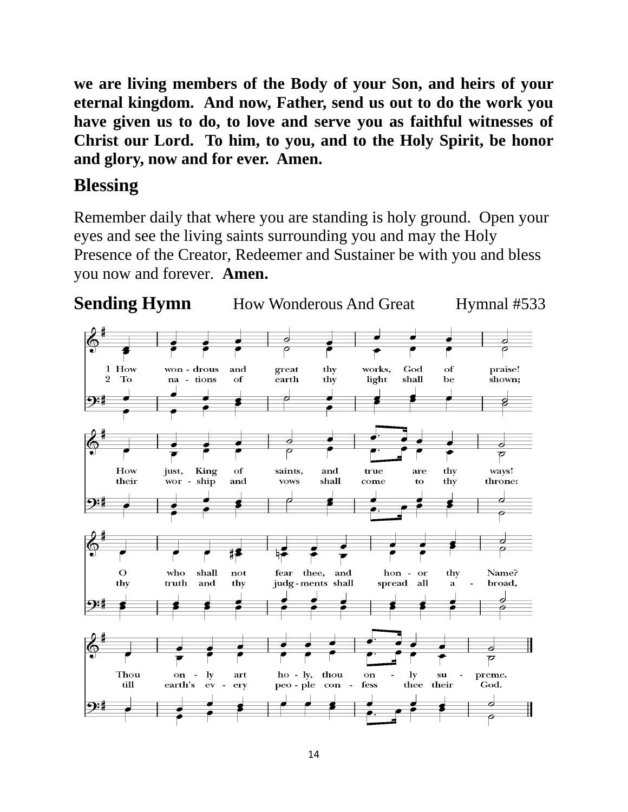**we are living members of the Body of your Son, and heirs of your eternal kingdom. And now, Father, send us out to do the work you have given us to do, to love and serve you as faithful witnesses of Christ our Lord. To him, to you, and to the Holy Spirit, be honor and glory, now and for ever. Amen.**

### **Blessing**

Remember daily that where you are standing is holy ground. Open your eyes and see the living saints surrounding you and may the Holy Presence of the Creator, Redeemer and Sustainer be with you and bless you now and forever. **Amen.** 

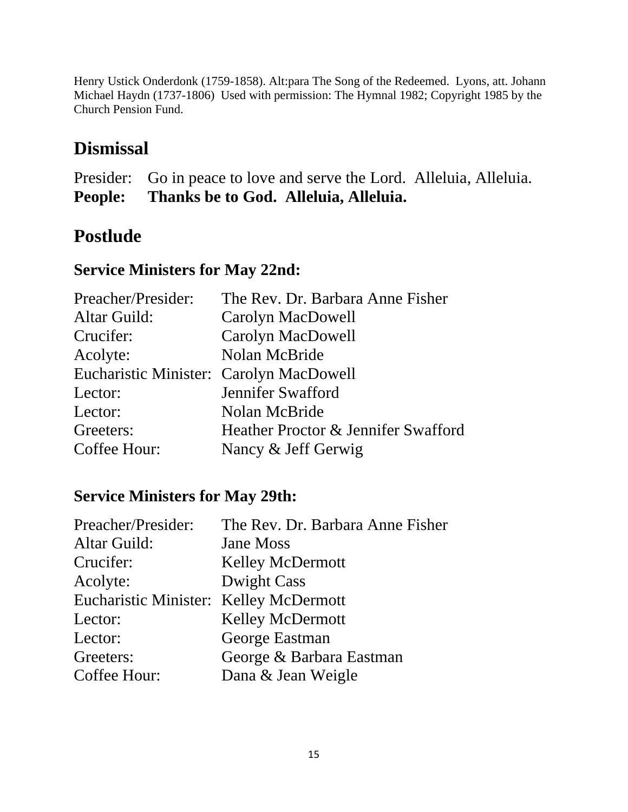Henry Ustick Onderdonk (1759-1858). Alt:para The Song of the Redeemed. Lyons, att. Johann Michael Haydn (1737-1806) Used with permission: The Hymnal 1982; Copyright 1985 by the Church Pension Fund.

### **Dismissal**

Presider: Go in peace to love and serve the Lord. Alleluia, Alleluia. **People: Thanks be to God. Alleluia, Alleluia.**

### **Postlude**

#### **Service Ministers for May 22nd:**

| Preacher/Presider:                      | The Rev. Dr. Barbara Anne Fisher    |
|-----------------------------------------|-------------------------------------|
| Altar Guild:                            | Carolyn MacDowell                   |
| Crucifer:                               | Carolyn MacDowell                   |
| Acolyte:                                | Nolan McBride                       |
| Eucharistic Minister: Carolyn MacDowell |                                     |
| Lector:                                 | Jennifer Swafford                   |
| Lector:                                 | Nolan McBride                       |
| Greeters:                               | Heather Proctor & Jennifer Swafford |
| Coffee Hour:                            | Nancy & Jeff Gerwig                 |

### **Service Ministers for May 29th:**

| Preacher/Presider:                     | The Rev. Dr. Barbara Anne Fisher |
|----------------------------------------|----------------------------------|
| Altar Guild:                           | <b>Jane Moss</b>                 |
| Crucifer:                              | <b>Kelley McDermott</b>          |
| Acolyte:                               | Dwight Cass                      |
| Eucharistic Minister: Kelley McDermott |                                  |
| Lector:                                | <b>Kelley McDermott</b>          |
| Lector:                                | George Eastman                   |
| Greeters:                              | George & Barbara Eastman         |
| Coffee Hour:                           | Dana & Jean Weigle               |
|                                        |                                  |